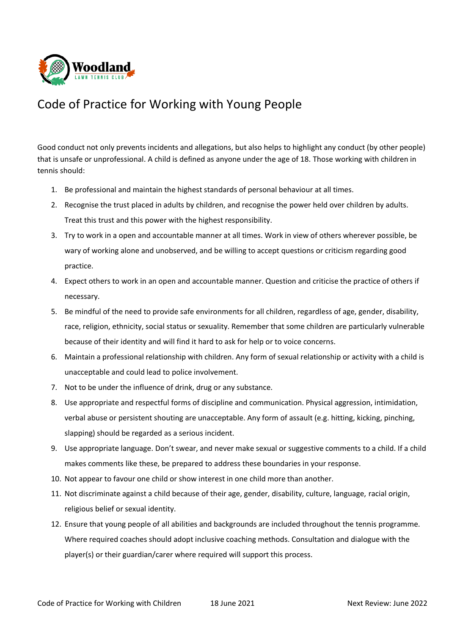

## Code of Practice for Working with Young People

Good conduct not only prevents incidents and allegations, but also helps to highlight any conduct (by other people) that is unsafe or unprofessional. A child is defined as anyone under the age of 18. Those working with children in tennis should:

- 1. Be professional and maintain the highest standards of personal behaviour at all times.
- 2. Recognise the trust placed in adults by children, and recognise the power held over children by adults. Treat this trust and this power with the highest responsibility.
- 3. Try to work in a open and accountable manner at all times. Work in view of others wherever possible, be wary of working alone and unobserved, and be willing to accept questions or criticism regarding good practice.
- 4. Expect others to work in an open and accountable manner. Question and criticise the practice of others if necessary.
- 5. Be mindful of the need to provide safe environments for all children, regardless of age, gender, disability, race, religion, ethnicity, social status or sexuality. Remember that some children are particularly vulnerable because of their identity and will find it hard to ask for help or to voice concerns.
- 6. Maintain a professional relationship with children. Any form of sexual relationship or activity with a child is unacceptable and could lead to police involvement.
- 7. Not to be under the influence of drink, drug or any substance.
- 8. Use appropriate and respectful forms of discipline and communication. Physical aggression, intimidation, verbal abuse or persistent shouting are unacceptable. Any form of assault (e.g. hitting, kicking, pinching, slapping) should be regarded as a serious incident.
- 9. Use appropriate language. Don't swear, and never make sexual or suggestive comments to a child. If a child makes comments like these, be prepared to address these boundaries in your response.
- 10. Not appear to favour one child or show interest in one child more than another.
- 11. Not discriminate against a child because of their age, gender, disability, culture, language, racial origin, religious belief or sexual identity.
- 12. Ensure that young people of all abilities and backgrounds are included throughout the tennis programme. Where required coaches should adopt inclusive coaching methods. Consultation and dialogue with the player(s) or their guardian/carer where required will support this process.